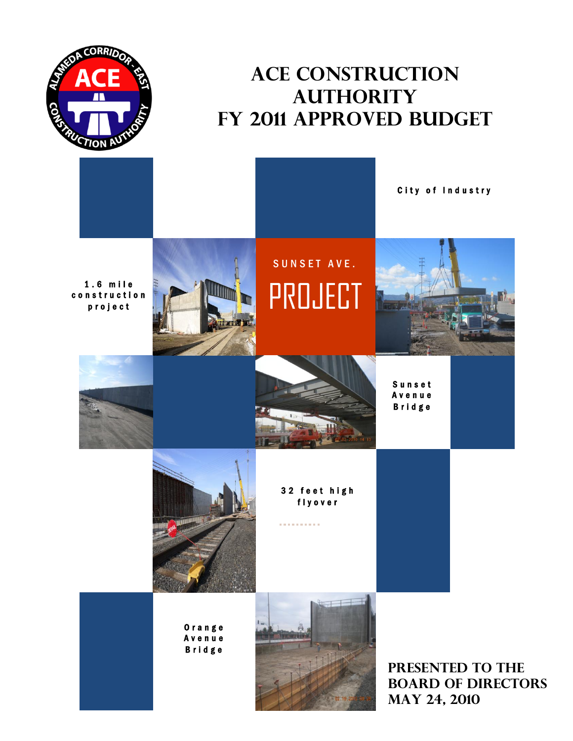

# **ACE Construction Authority FY 2011 APPROVED Budget**

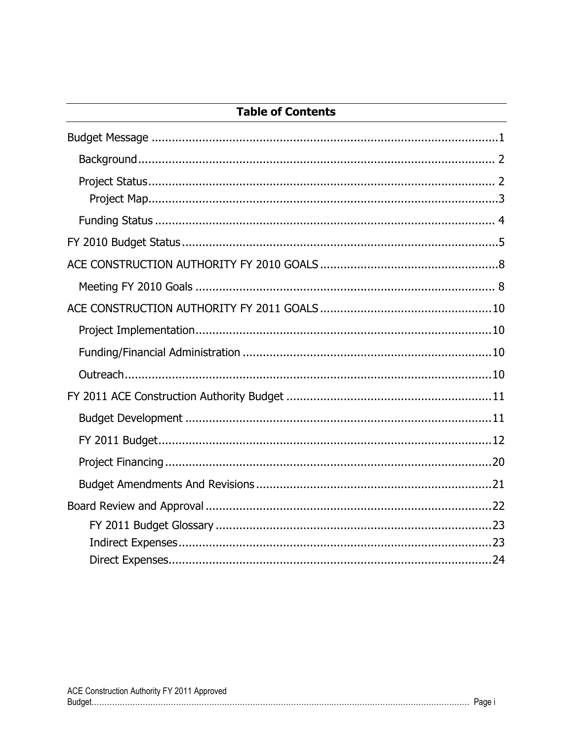## **Table of Contents**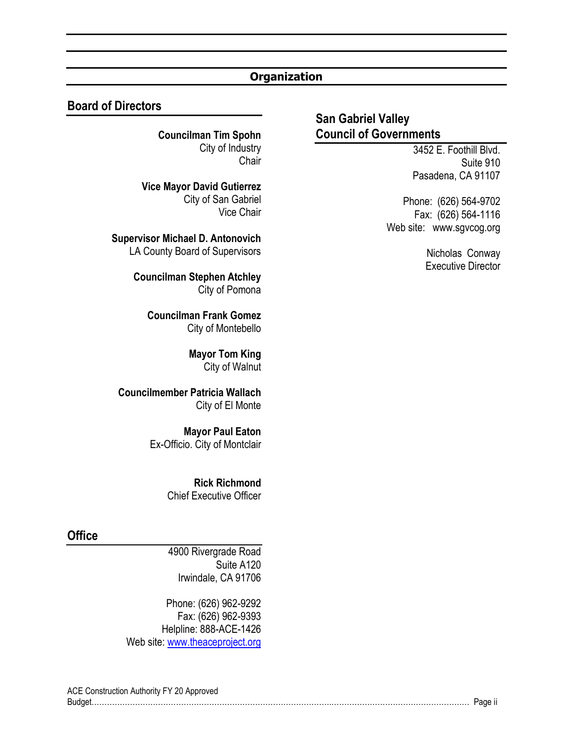### **Organization**

#### **Board of Directors**

**Councilman Tim Spohn** City of Industry **Chair** 

**Vice Mayor David Gutierrez** City of San Gabriel Vice Chair

**Supervisor Michael D. Antonovich** LA County Board of Supervisors

> **Councilman Stephen Atchley** City of Pomona

> > **Councilman Frank Gomez** City of Montebello

> > > **Mayor Tom King** City of Walnut

**Councilmember Patricia Wallach** City of El Monte

> **Mayor Paul Eaton** Ex-Officio. City of Montclair

> > **Rick Richmond** Chief Executive Officer

#### **Office**

4900 Rivergrade Road Suite A120 Irwindale, CA 91706

Phone: (626) 962-9292 Fax: (626) 962-9393 Helpline: 888-ACE-1426 Web site: [www.theaceproject.org](http://www.theaceproject.org/)

### **San Gabriel Valley Council of Governments**

3452 E. Foothill Blvd. Suite 910 Pasadena, CA 91107

Phone: (626) 564-9702 Fax: (626) 564-1116 Web site: www.sgvcog.org

> Nicholas Conway Executive Director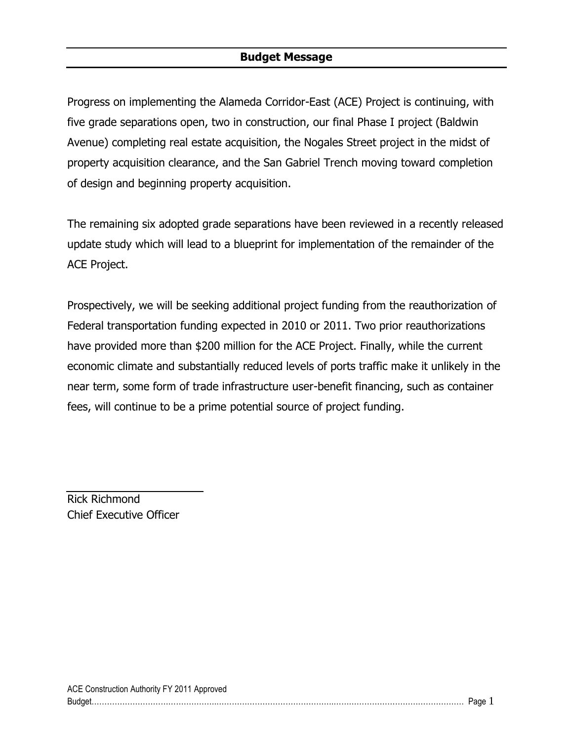### **Budget Message**

<span id="page-3-0"></span>Progress on implementing the Alameda Corridor-East (ACE) Project is continuing, with five grade separations open, two in construction, our final Phase I project (Baldwin Avenue) completing real estate acquisition, the Nogales Street project in the midst of property acquisition clearance, and the San Gabriel Trench moving toward completion of design and beginning property acquisition.

The remaining six adopted grade separations have been reviewed in a recently released update study which will lead to a blueprint for implementation of the remainder of the ACE Project.

Prospectively, we will be seeking additional project funding from the reauthorization of Federal transportation funding expected in 2010 or 2011. Two prior reauthorizations have provided more than \$200 million for the ACE Project. Finally, while the current economic climate and substantially reduced levels of ports traffic make it unlikely in the near term, some form of trade infrastructure user-benefit financing, such as container fees, will continue to be a prime potential source of project funding.

Rick Richmond Chief Executive Officer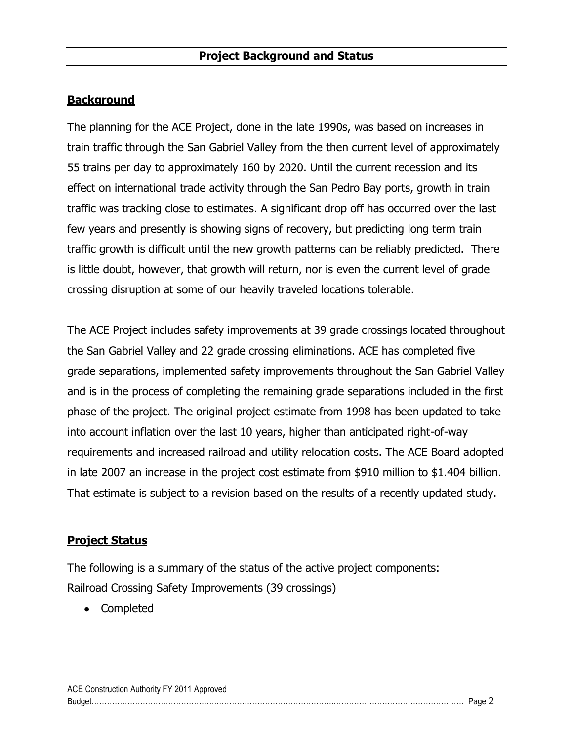### <span id="page-4-0"></span>**Background**

The planning for the ACE Project, done in the late 1990s, was based on increases in train traffic through the San Gabriel Valley from the then current level of approximately 55 trains per day to approximately 160 by 2020. Until the current recession and its effect on international trade activity through the San Pedro Bay ports, growth in train traffic was tracking close to estimates. A significant drop off has occurred over the last few years and presently is showing signs of recovery, but predicting long term train traffic growth is difficult until the new growth patterns can be reliably predicted. There is little doubt, however, that growth will return, nor is even the current level of grade crossing disruption at some of our heavily traveled locations tolerable.

The ACE Project includes safety improvements at 39 grade crossings located throughout the San Gabriel Valley and 22 grade crossing eliminations. ACE has completed five grade separations, implemented safety improvements throughout the San Gabriel Valley and is in the process of completing the remaining grade separations included in the first phase of the project. The original project estimate from 1998 has been updated to take into account inflation over the last 10 years, higher than anticipated right-of-way requirements and increased railroad and utility relocation costs. The ACE Board adopted in late 2007 an increase in the project cost estimate from \$910 million to \$1.404 billion. That estimate is subject to a revision based on the results of a recently updated study.

#### <span id="page-4-1"></span>**Project Status**

The following is a summary of the status of the active project components: Railroad Crossing Safety Improvements (39 crossings)

• Completed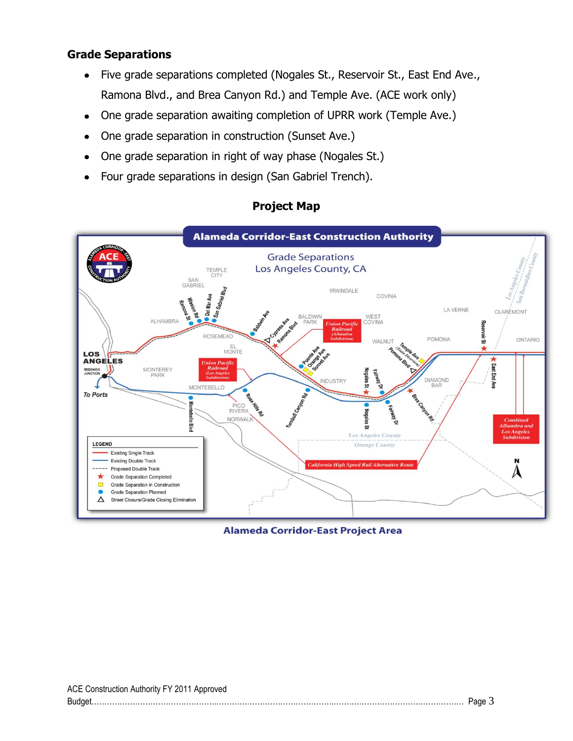#### **Grade Separations**

- Five grade separations completed (Nogales St., Reservoir St., East End Ave., Ramona Blvd., and Brea Canyon Rd.) and Temple Ave. (ACE work only)
- One grade separation awaiting completion of UPRR work (Temple Ave.)  $\bullet$
- One grade separation in construction (Sunset Ave.)  $\bullet$
- One grade separation in right of way phase (Nogales St.)  $\bullet$
- Four grade separations in design (San Gabriel Trench).

<span id="page-5-0"></span>

#### **Project Map**

**Alameda Corridor-East Project Area**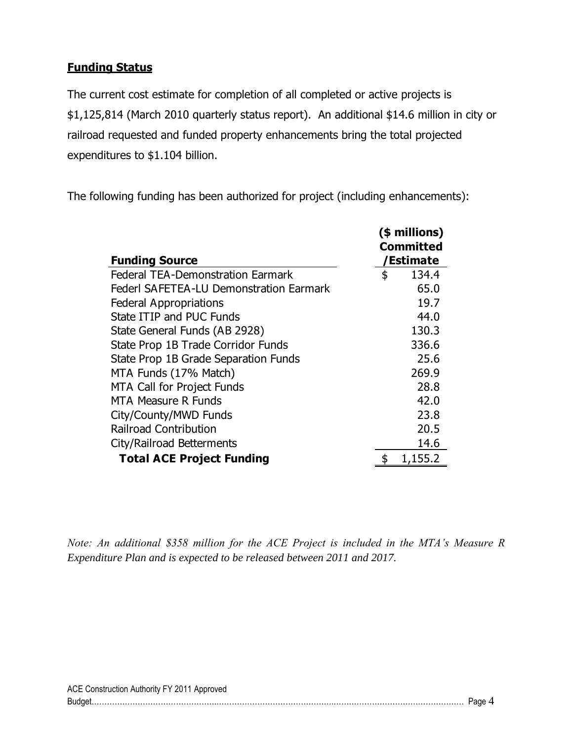### <span id="page-6-0"></span>**Funding Status**

The current cost estimate for completion of all completed or active projects is \$1,125,814 (March 2010 quarterly status report). An additional \$14.6 million in city or railroad requested and funded property enhancements bring the total projected expenditures to \$1.104 billion.

The following funding has been authorized for project (including enhancements):

|                                                | (\$ millions)<br><b>Committed</b> |
|------------------------------------------------|-----------------------------------|
| <b>Funding Source</b>                          | /Estimate                         |
| <b>Federal TEA-Demonstration Earmark</b>       | \$<br>134.4                       |
| <b>Federl SAFETEA-LU Demonstration Earmark</b> | 65.0                              |
| <b>Federal Appropriations</b>                  | 19.7                              |
| State ITIP and PUC Funds                       | 44.0                              |
| State General Funds (AB 2928)                  | 130.3                             |
| State Prop 1B Trade Corridor Funds             | 336.6                             |
| State Prop 1B Grade Separation Funds           | 25.6                              |
| MTA Funds (17% Match)                          | 269.9                             |
| MTA Call for Project Funds                     | 28.8                              |
| <b>MTA Measure R Funds</b>                     | 42.0                              |
| City/County/MWD Funds                          | 23.8                              |
| <b>Railroad Contribution</b>                   | 20.5                              |
| City/Railroad Betterments                      | 14.6                              |
| <b>Total ACE Project Funding</b>               | 1,155.2                           |

*Note: An additional \$358 million for the ACE Project is included in the MTA's Measure R Expenditure Plan and is expected to be released between 2011 and 2017.*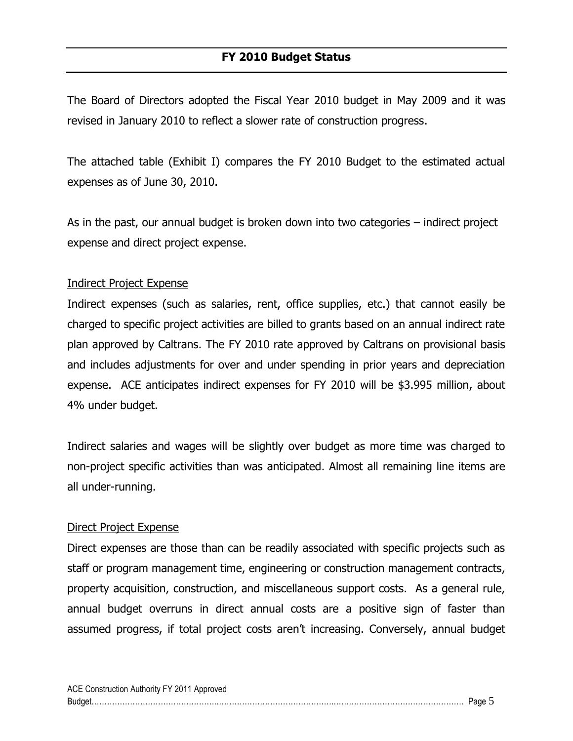<span id="page-7-0"></span>The Board of Directors adopted the Fiscal Year 2010 budget in May 2009 and it was revised in January 2010 to reflect a slower rate of construction progress.

The attached table (Exhibit I) compares the FY 2010 Budget to the estimated actual expenses as of June 30, 2010.

As in the past, our annual budget is broken down into two categories – indirect project expense and direct project expense.

#### Indirect Project Expense

Indirect expenses (such as salaries, rent, office supplies, etc.) that cannot easily be charged to specific project activities are billed to grants based on an annual indirect rate plan approved by Caltrans. The FY 2010 rate approved by Caltrans on provisional basis and includes adjustments for over and under spending in prior years and depreciation expense. ACE anticipates indirect expenses for FY 2010 will be \$3.995 million, about 4% under budget.

Indirect salaries and wages will be slightly over budget as more time was charged to non-project specific activities than was anticipated. Almost all remaining line items are all under-running.

#### Direct Project Expense

Direct expenses are those than can be readily associated with specific projects such as staff or program management time, engineering or construction management contracts, property acquisition, construction, and miscellaneous support costs. As a general rule, annual budget overruns in direct annual costs are a positive sign of faster than assumed progress, if total project costs aren't increasing. Conversely, annual budget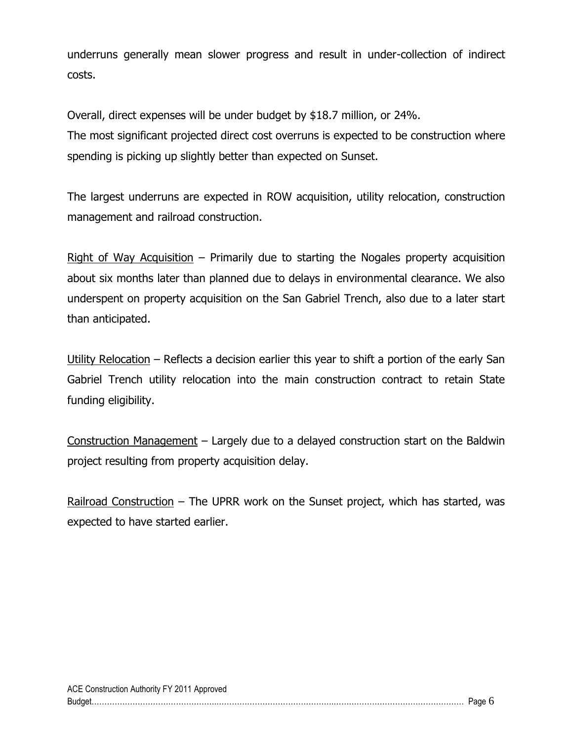underruns generally mean slower progress and result in under-collection of indirect costs.

Overall, direct expenses will be under budget by \$18.7 million, or 24%. The most significant projected direct cost overruns is expected to be construction where spending is picking up slightly better than expected on Sunset.

The largest underruns are expected in ROW acquisition, utility relocation, construction management and railroad construction.

Right of Way Acquisition – Primarily due to starting the Nogales property acquisition about six months later than planned due to delays in environmental clearance. We also underspent on property acquisition on the San Gabriel Trench, also due to a later start than anticipated.

Utility Relocation – Reflects a decision earlier this year to shift a portion of the early San Gabriel Trench utility relocation into the main construction contract to retain State funding eligibility.

Construction Management – Largely due to a delayed construction start on the Baldwin project resulting from property acquisition delay.

Railroad Construction – The UPRR work on the Sunset project, which has started, was expected to have started earlier.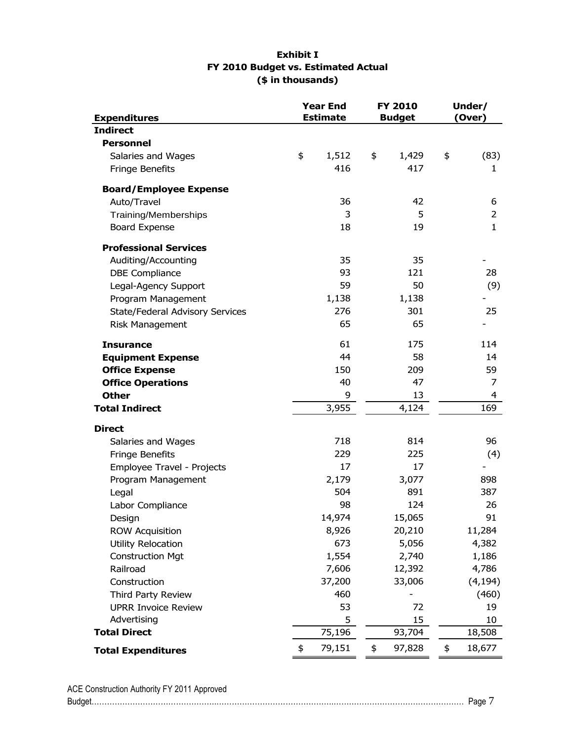#### **Exhibit I FY 2010 Budget vs. Estimated Actual (\$ in thousands)**

|                                        |    | <b>Year End</b><br><b>Estimate</b> | <b>FY 2010</b><br><b>Budget</b> | Under/<br>(Over) |  |  |
|----------------------------------------|----|------------------------------------|---------------------------------|------------------|--|--|
| <b>Expenditures</b><br><b>Indirect</b> |    |                                    |                                 |                  |  |  |
| <b>Personnel</b>                       |    |                                    |                                 |                  |  |  |
| Salaries and Wages                     | \$ | 1,512                              | \$<br>1,429                     | \$<br>(83)       |  |  |
| <b>Fringe Benefits</b>                 |    | 416                                | 417                             | $\mathbf{1}$     |  |  |
| <b>Board/Employee Expense</b>          |    |                                    |                                 |                  |  |  |
| Auto/Travel                            |    | 36                                 | 42                              | 6                |  |  |
| Training/Memberships                   |    | 3                                  | 5                               | $\overline{2}$   |  |  |
| Board Expense                          |    | 18                                 | 19                              | $\mathbf{1}$     |  |  |
| <b>Professional Services</b>           |    |                                    |                                 |                  |  |  |
| Auditing/Accounting                    |    | 35                                 | 35                              |                  |  |  |
| <b>DBE Compliance</b>                  |    | 93                                 | 121                             | 28               |  |  |
| Legal-Agency Support                   |    | 59                                 | 50                              | (9)              |  |  |
| Program Management                     |    | 1,138                              | 1,138                           |                  |  |  |
| State/Federal Advisory Services        |    | 276                                | 301                             | 25               |  |  |
| Risk Management                        |    | 65                                 | 65                              |                  |  |  |
| <b>Insurance</b>                       |    | 61                                 | 175                             | 114              |  |  |
| <b>Equipment Expense</b>               |    | 44                                 | 58                              | 14               |  |  |
| <b>Office Expense</b>                  |    | 150                                | 209                             | 59               |  |  |
| <b>Office Operations</b>               |    | 40                                 | 47                              | 7                |  |  |
| <b>Other</b>                           |    | 9                                  | 13                              | 4                |  |  |
| <b>Total Indirect</b>                  |    | 3,955                              | 4,124                           | 169              |  |  |
| <b>Direct</b>                          |    |                                    |                                 |                  |  |  |
| Salaries and Wages                     |    | 718                                | 814                             | 96               |  |  |
| <b>Fringe Benefits</b>                 |    | 229                                | 225                             | (4)              |  |  |
| Employee Travel - Projects             |    | 17                                 | 17                              | $\blacksquare$   |  |  |
| Program Management                     |    | 2,179                              | 3,077                           | 898              |  |  |
| Legal                                  |    | 504                                | 891                             | 387              |  |  |
| Labor Compliance                       |    | 98                                 | 124                             | 26               |  |  |
| Design                                 |    | 14,974                             | 15,065                          | 91               |  |  |
| <b>ROW Acquisition</b>                 |    | 8,926                              | 20,210                          | 11,284           |  |  |
| <b>Utility Relocation</b>              |    | 673                                | 5,056                           | 4,382            |  |  |
| <b>Construction Mgt</b>                |    | 1,554                              | 2,740                           | 1,186            |  |  |
| Railroad                               |    | 7,606                              | 12,392                          | 4,786            |  |  |
| Construction                           |    | 37,200                             | 33,006                          | (4, 194)         |  |  |
| Third Party Review                     |    | 460                                |                                 | (460)            |  |  |
| <b>UPRR Invoice Review</b>             |    | 53                                 | 72                              | 19               |  |  |
| Advertising                            |    | 5                                  | 15                              | 10               |  |  |
| <b>Total Direct</b>                    |    | 75,196                             | 93,704                          | 18,508           |  |  |
| <b>Total Expenditures</b>              | \$ | 79,151                             | \$<br>97,828                    | \$<br>18,677     |  |  |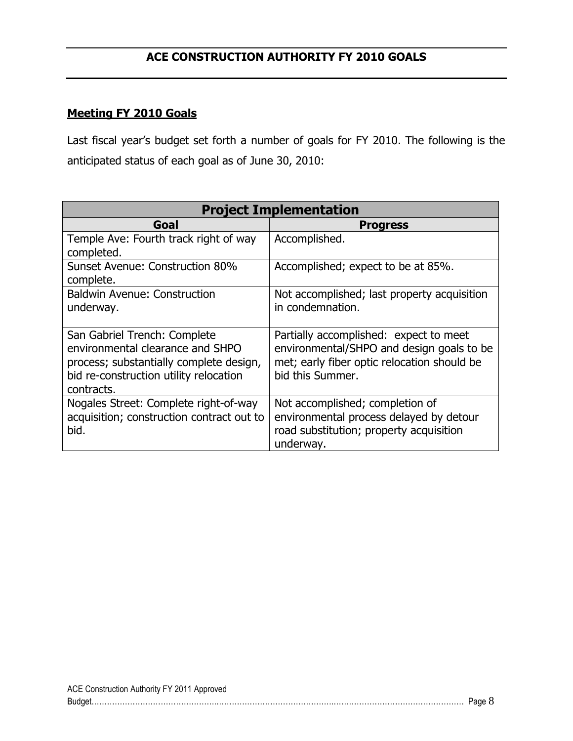### **ACE CONSTRUCTION AUTHORITY FY 2010 GOALS**

### <span id="page-10-1"></span><span id="page-10-0"></span>**Meeting FY 2010 Goals**

Last fiscal year's budget set forth a number of goals for FY 2010. The following is the anticipated status of each goal as of June 30, 2010:

| <b>Project Implementation</b>                                                                                                                                       |                                                                                                                                                        |  |  |  |  |  |  |  |
|---------------------------------------------------------------------------------------------------------------------------------------------------------------------|--------------------------------------------------------------------------------------------------------------------------------------------------------|--|--|--|--|--|--|--|
| Goal                                                                                                                                                                | <b>Progress</b>                                                                                                                                        |  |  |  |  |  |  |  |
| Temple Ave: Fourth track right of way<br>completed.                                                                                                                 | Accomplished.                                                                                                                                          |  |  |  |  |  |  |  |
| Sunset Avenue: Construction 80%<br>complete.                                                                                                                        | Accomplished; expect to be at 85%.                                                                                                                     |  |  |  |  |  |  |  |
| <b>Baldwin Avenue: Construction</b><br>underway.                                                                                                                    | Not accomplished; last property acquisition<br>in condemnation.                                                                                        |  |  |  |  |  |  |  |
| San Gabriel Trench: Complete<br>environmental clearance and SHPO<br>process; substantially complete design,<br>bid re-construction utility relocation<br>contracts. | Partially accomplished: expect to meet<br>environmental/SHPO and design goals to be<br>met; early fiber optic relocation should be<br>bid this Summer. |  |  |  |  |  |  |  |
| Nogales Street: Complete right-of-way<br>acquisition; construction contract out to<br>bid.                                                                          | Not accomplished; completion of<br>environmental process delayed by detour<br>road substitution; property acquisition<br>underway.                     |  |  |  |  |  |  |  |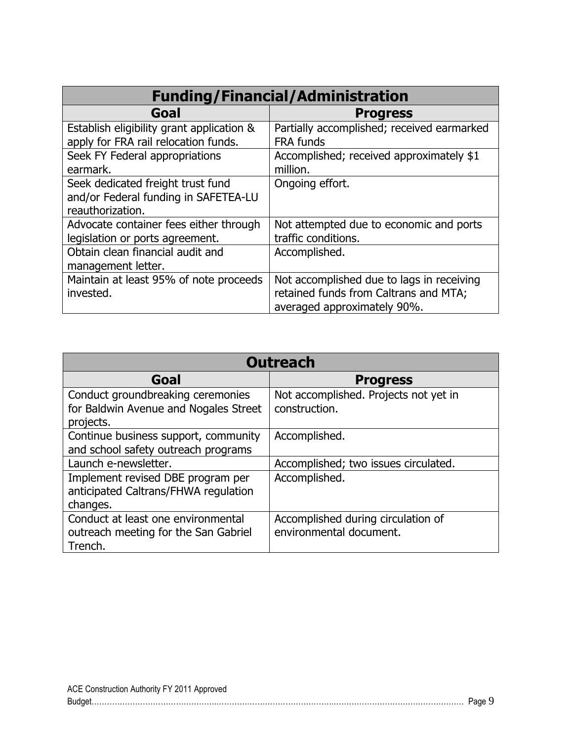| <b>Funding/Financial/Administration</b>   |                                            |  |  |  |  |  |
|-------------------------------------------|--------------------------------------------|--|--|--|--|--|
| Goal                                      | <b>Progress</b>                            |  |  |  |  |  |
| Establish eligibility grant application & | Partially accomplished; received earmarked |  |  |  |  |  |
| apply for FRA rail relocation funds.      | <b>FRA funds</b>                           |  |  |  |  |  |
| Seek FY Federal appropriations            | Accomplished; received approximately \$1   |  |  |  |  |  |
| earmark.                                  | million.                                   |  |  |  |  |  |
| Seek dedicated freight trust fund         | Ongoing effort.                            |  |  |  |  |  |
| and/or Federal funding in SAFETEA-LU      |                                            |  |  |  |  |  |
| reauthorization.                          |                                            |  |  |  |  |  |
| Advocate container fees either through    | Not attempted due to economic and ports    |  |  |  |  |  |
| legislation or ports agreement.           | traffic conditions.                        |  |  |  |  |  |
| Obtain clean financial audit and          | Accomplished.                              |  |  |  |  |  |
| management letter.                        |                                            |  |  |  |  |  |
| Maintain at least 95% of note proceeds    | Not accomplished due to lags in receiving  |  |  |  |  |  |
| invested.                                 | retained funds from Caltrans and MTA;      |  |  |  |  |  |
|                                           | averaged approximately 90%.                |  |  |  |  |  |

| <b>Outreach</b>                       |                                       |  |  |  |  |  |  |
|---------------------------------------|---------------------------------------|--|--|--|--|--|--|
| Goal                                  | <b>Progress</b>                       |  |  |  |  |  |  |
| Conduct groundbreaking ceremonies     | Not accomplished. Projects not yet in |  |  |  |  |  |  |
| for Baldwin Avenue and Nogales Street | construction.                         |  |  |  |  |  |  |
| projects.                             |                                       |  |  |  |  |  |  |
| Continue business support, community  | Accomplished.                         |  |  |  |  |  |  |
| and school safety outreach programs   |                                       |  |  |  |  |  |  |
| Launch e-newsletter.                  | Accomplished; two issues circulated.  |  |  |  |  |  |  |
| Implement revised DBE program per     | Accomplished.                         |  |  |  |  |  |  |
| anticipated Caltrans/FHWA regulation  |                                       |  |  |  |  |  |  |
| changes.                              |                                       |  |  |  |  |  |  |
| Conduct at least one environmental    | Accomplished during circulation of    |  |  |  |  |  |  |
| outreach meeting for the San Gabriel  | environmental document.               |  |  |  |  |  |  |
| Trench.                               |                                       |  |  |  |  |  |  |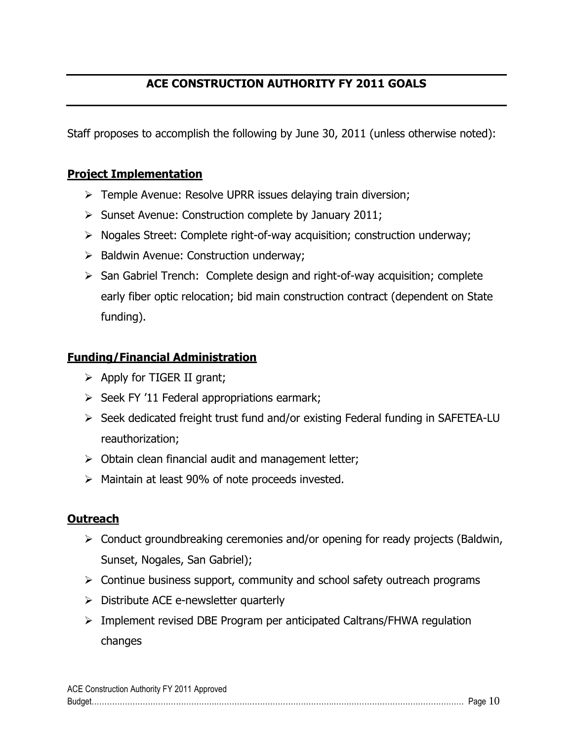### **ACE CONSTRUCTION AUTHORITY FY 2011 GOALS**

<span id="page-12-0"></span>Staff proposes to accomplish the following by June 30, 2011 (unless otherwise noted):

#### <span id="page-12-1"></span>**Project Implementation**

- > Temple Avenue: Resolve UPRR issues delaying train diversion;
- $\triangleright$  Sunset Avenue: Construction complete by January 2011;
- $\triangleright$  Nogales Street: Complete right-of-way acquisition; construction underway;
- > Baldwin Avenue: Construction underway;
- $\triangleright$  San Gabriel Trench: Complete design and right-of-way acquisition; complete early fiber optic relocation; bid main construction contract (dependent on State funding).

#### <span id="page-12-2"></span>**Funding/Financial Administration**

- $\triangleright$  Apply for TIGER II grant;
- $\triangleright$  Seek FY '11 Federal appropriations earmark;
- $\triangleright$  Seek dedicated freight trust fund and/or existing Federal funding in SAFETEA-LU reauthorization;
- $\triangleright$  Obtain clean financial audit and management letter;
- $\triangleright$  Maintain at least 90% of note proceeds invested.

#### <span id="page-12-3"></span>**Outreach**

- $\triangleright$  Conduct groundbreaking ceremonies and/or opening for ready projects (Baldwin, Sunset, Nogales, San Gabriel);
- $\triangleright$  Continue business support, community and school safety outreach programs
- $\triangleright$  Distribute ACE e-newsletter quarterly
- $\triangleright$  Implement revised DBE Program per anticipated Caltrans/FHWA regulation changes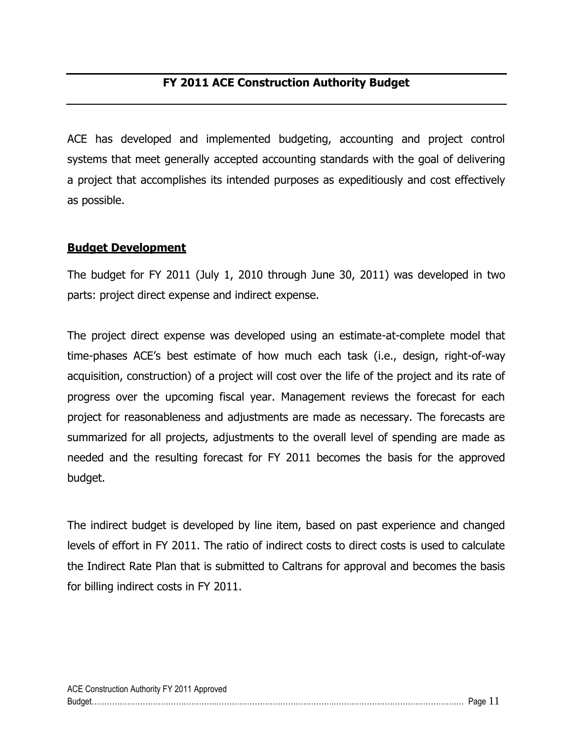<span id="page-13-0"></span>ACE has developed and implemented budgeting, accounting and project control systems that meet generally accepted accounting standards with the goal of delivering a project that accomplishes its intended purposes as expeditiously and cost effectively as possible.

### <span id="page-13-1"></span>**Budget Development**

The budget for FY 2011 (July 1, 2010 through June 30, 2011) was developed in two parts: project direct expense and indirect expense.

The project direct expense was developed using an estimate-at-complete model that time-phases ACE's best estimate of how much each task (i.e., design, right-of-way acquisition, construction) of a project will cost over the life of the project and its rate of progress over the upcoming fiscal year. Management reviews the forecast for each project for reasonableness and adjustments are made as necessary. The forecasts are summarized for all projects, adjustments to the overall level of spending are made as needed and the resulting forecast for FY 2011 becomes the basis for the approved budget.

The indirect budget is developed by line item, based on past experience and changed levels of effort in FY 2011. The ratio of indirect costs to direct costs is used to calculate the Indirect Rate Plan that is submitted to Caltrans for approval and becomes the basis for billing indirect costs in FY 2011.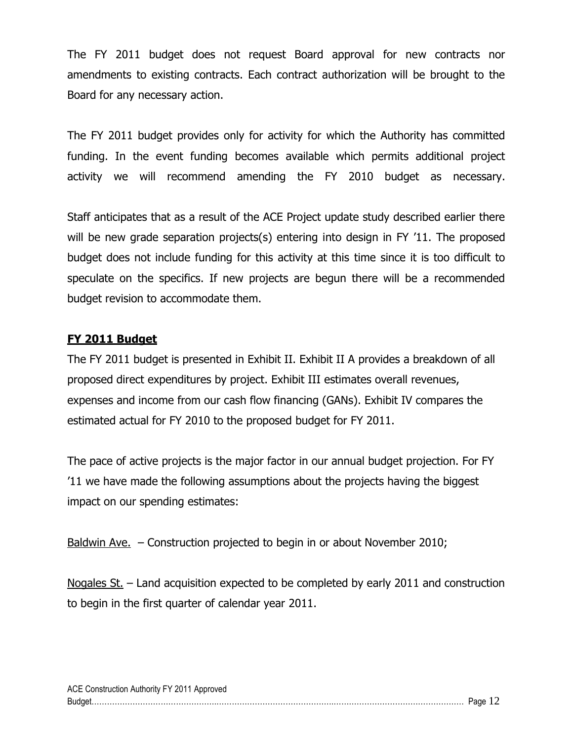The FY 2011 budget does not request Board approval for new contracts nor amendments to existing contracts. Each contract authorization will be brought to the Board for any necessary action.

The FY 2011 budget provides only for activity for which the Authority has committed funding. In the event funding becomes available which permits additional project activity we will recommend amending the FY 2010 budget as necessary.

Staff anticipates that as a result of the ACE Project update study described earlier there will be new grade separation projects(s) entering into design in FY '11. The proposed budget does not include funding for this activity at this time since it is too difficult to speculate on the specifics. If new projects are begun there will be a recommended budget revision to accommodate them.

### <span id="page-14-0"></span>**FY 2011 Budget**

The FY 2011 budget is presented in Exhibit II. Exhibit II A provides a breakdown of all proposed direct expenditures by project. Exhibit III estimates overall revenues, expenses and income from our cash flow financing (GANs). Exhibit IV compares the estimated actual for FY 2010 to the proposed budget for FY 2011.

The pace of active projects is the major factor in our annual budget projection. For FY '11 we have made the following assumptions about the projects having the biggest impact on our spending estimates:

Baldwin Ave. – Construction projected to begin in or about November 2010;

Nogales St. – Land acquisition expected to be completed by early 2011 and construction to begin in the first quarter of calendar year 2011.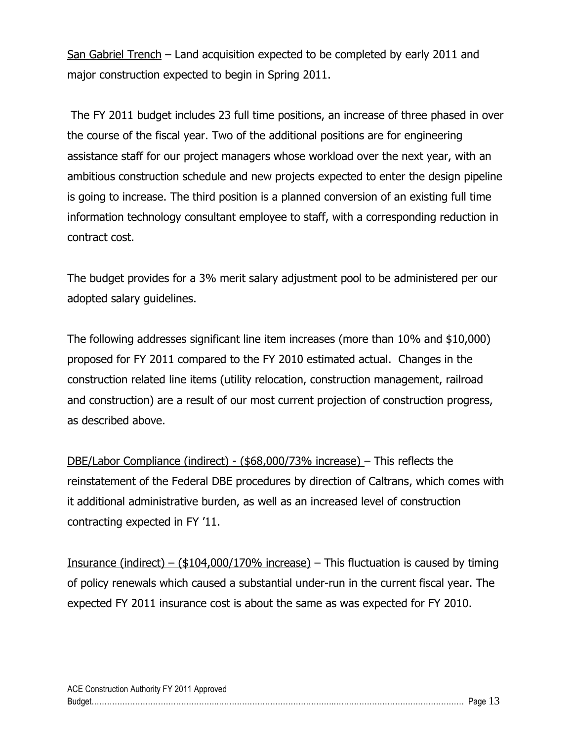San Gabriel Trench – Land acquisition expected to be completed by early 2011 and major construction expected to begin in Spring 2011.

The FY 2011 budget includes 23 full time positions, an increase of three phased in over the course of the fiscal year. Two of the additional positions are for engineering assistance staff for our project managers whose workload over the next year, with an ambitious construction schedule and new projects expected to enter the design pipeline is going to increase. The third position is a planned conversion of an existing full time information technology consultant employee to staff, with a corresponding reduction in contract cost.

The budget provides for a 3% merit salary adjustment pool to be administered per our adopted salary guidelines.

The following addresses significant line item increases (more than 10% and \$10,000) proposed for FY 2011 compared to the FY 2010 estimated actual. Changes in the construction related line items (utility relocation, construction management, railroad and construction) are a result of our most current projection of construction progress, as described above.

DBE/Labor Compliance (indirect) - (\$68,000/73% increase) – This reflects the reinstatement of the Federal DBE procedures by direction of Caltrans, which comes with it additional administrative burden, as well as an increased level of construction contracting expected in FY '11.

Insurance (indirect) –  $($104,000/170\%$$  increase) – This fluctuation is caused by timing of policy renewals which caused a substantial under-run in the current fiscal year. The expected FY 2011 insurance cost is about the same as was expected for FY 2010.

| ACE Construction Authority FY 2011 Approved |  |
|---------------------------------------------|--|
|                                             |  |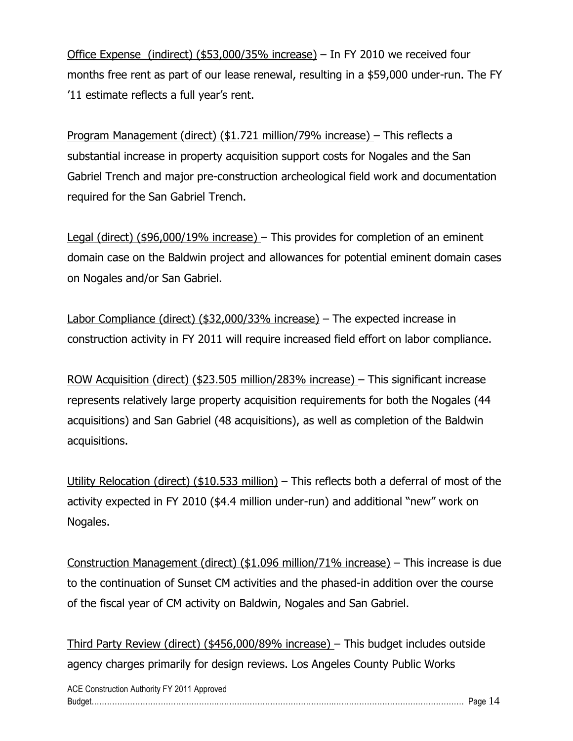Office Expense (indirect) (\$53,000/35% increase) – In FY 2010 we received four months free rent as part of our lease renewal, resulting in a \$59,000 under-run. The FY '11 estimate reflects a full year's rent.

Program Management (direct) (\$1.721 million/79% increase) – This reflects a substantial increase in property acquisition support costs for Nogales and the San Gabriel Trench and major pre-construction archeological field work and documentation required for the San Gabriel Trench.

Legal (direct) (\$96,000/19% increase) – This provides for completion of an eminent domain case on the Baldwin project and allowances for potential eminent domain cases on Nogales and/or San Gabriel.

Labor Compliance (direct) (\$32,000/33% increase) – The expected increase in construction activity in FY 2011 will require increased field effort on labor compliance.

ROW Acquisition (direct) (\$23.505 million/283% increase) – This significant increase represents relatively large property acquisition requirements for both the Nogales (44 acquisitions) and San Gabriel (48 acquisitions), as well as completion of the Baldwin acquisitions.

Utility Relocation (direct) (\$10.533 million) – This reflects both a deferral of most of the activity expected in FY 2010 (\$4.4 million under-run) and additional "new" work on Nogales.

Construction Management (direct) (\$1.096 million/71% increase) – This increase is due to the continuation of Sunset CM activities and the phased-in addition over the course of the fiscal year of CM activity on Baldwin, Nogales and San Gabriel.

Third Party Review (direct) (\$456,000/89% increase) – This budget includes outside agency charges primarily for design reviews. Los Angeles County Public Works

| ACE Construction Authority FY 2011 Approved |  |
|---------------------------------------------|--|
|                                             |  |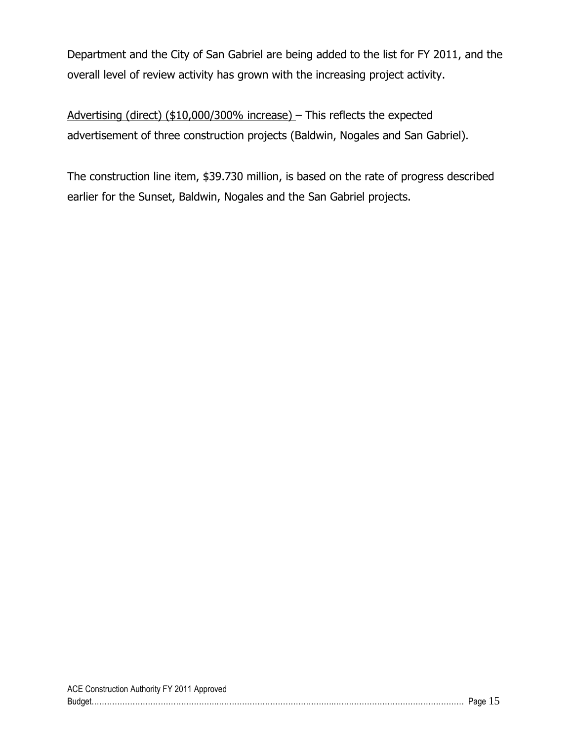Department and the City of San Gabriel are being added to the list for FY 2011, and the overall level of review activity has grown with the increasing project activity.

Advertising (direct) (\$10,000/300% increase) – This reflects the expected advertisement of three construction projects (Baldwin, Nogales and San Gabriel).

The construction line item, \$39.730 million, is based on the rate of progress described earlier for the Sunset, Baldwin, Nogales and the San Gabriel projects.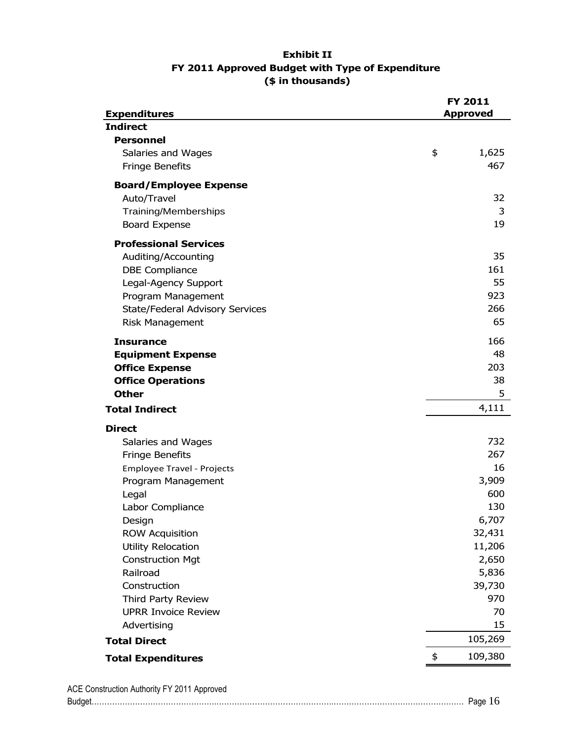#### **Exhibit II FY 2011 Approved Budget with Type of Expenditure (\$ in thousands)**

| <b>Expenditures</b>                    | FY 2011<br><b>Approved</b> |
|----------------------------------------|----------------------------|
| <b>Indirect</b>                        |                            |
| <b>Personnel</b>                       |                            |
| Salaries and Wages                     | \$<br>1,625                |
| <b>Fringe Benefits</b>                 | 467                        |
| <b>Board/Employee Expense</b>          |                            |
| Auto/Travel                            | 32                         |
| Training/Memberships                   | 3                          |
| <b>Board Expense</b>                   | 19                         |
| <b>Professional Services</b>           |                            |
| Auditing/Accounting                    | 35                         |
| <b>DBE Compliance</b>                  | 161                        |
| Legal-Agency Support                   | 55                         |
| Program Management                     | 923                        |
| <b>State/Federal Advisory Services</b> | 266                        |
| <b>Risk Management</b>                 | 65                         |
| <b>Insurance</b>                       | 166                        |
| <b>Equipment Expense</b>               | 48                         |
| <b>Office Expense</b>                  | 203                        |
| <b>Office Operations</b>               | 38                         |
| <b>Other</b>                           | 5                          |
| <b>Total Indirect</b>                  | 4,111                      |
| <b>Direct</b>                          |                            |
| Salaries and Wages                     | 732                        |
| <b>Fringe Benefits</b>                 | 267                        |
| <b>Employee Travel - Projects</b>      | 16                         |
| Program Management                     | 3,909                      |
| Legal                                  | 600                        |
| Labor Compliance                       | 130                        |
| Design                                 | 6,707                      |
| <b>ROW Acquisition</b>                 | 32,431                     |
| <b>Utility Relocation</b>              | 11,206                     |
| <b>Construction Mgt</b>                | 2,650                      |
| Railroad                               | 5,836                      |
| Construction                           | 39,730                     |
| Third Party Review                     | 970                        |
| <b>UPRR Invoice Review</b>             | 70                         |
| Advertising                            | 15                         |
| <b>Total Direct</b>                    | 105,269                    |
| <b>Total Expenditures</b>              | \$<br>109,380              |

| ACE Construction Authority FY 2011 Approved |  |
|---------------------------------------------|--|
|                                             |  |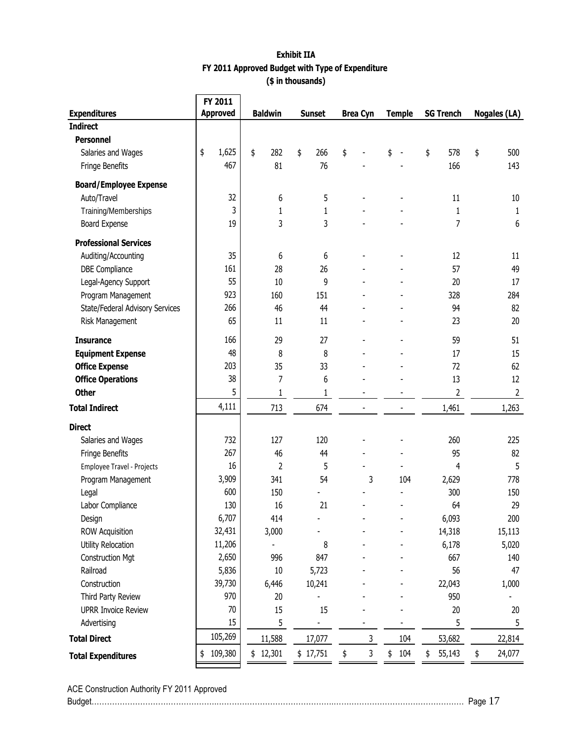#### **Exhibit IIA FY 2011 Approved Budget with Type of Expenditure (\$ in thousands)**

|                                 | FY 2011         |                |                          |                    |               |     |                         |                |
|---------------------------------|-----------------|----------------|--------------------------|--------------------|---------------|-----|-------------------------|----------------|
| <b>Expenditures</b>             | <b>Approved</b> | <b>Baldwin</b> | <b>Sunset</b>            | <b>Brea Cyn</b>    | <b>Temple</b> |     | <b>SG Trench</b>        | Nogales (LA)   |
| <b>Indirect</b>                 |                 |                |                          |                    |               |     |                         |                |
| <b>Personnel</b>                |                 |                |                          |                    |               |     |                         |                |
| Salaries and Wages              | \$<br>1,625     | \$<br>282      | \$<br>266                | \$                 | \$            |     | \$<br>578               | \$<br>500      |
| Fringe Benefits                 | 467             | 81             | 76                       |                    |               |     | 166                     | 143            |
| <b>Board/Employee Expense</b>   |                 |                |                          |                    |               |     |                         |                |
| Auto/Travel                     | 32              | 6              | 5                        |                    |               |     | 11                      | 10             |
| Training/Memberships            | 3               | 1              | 1                        |                    |               |     | 1                       | 1              |
| Board Expense                   | 19              | 3              | 3                        |                    |               |     | 7                       | 6              |
| <b>Professional Services</b>    |                 |                |                          |                    |               |     |                         |                |
| Auditing/Accounting             | 35              | 6              | 6                        |                    |               |     | 12                      | 11             |
| <b>DBE Compliance</b>           | 161             | 28             | 26                       |                    |               |     | 57                      | 49             |
| Legal-Agency Support            | 55              | 10             | 9                        |                    |               |     | 20                      | 17             |
| Program Management              | 923             | 160            | 151                      |                    |               |     | 328                     | 284            |
| State/Federal Advisory Services | 266             | 46             | 44                       |                    |               |     | 94                      | 82             |
| Risk Management                 | 65              | 11             | 11                       |                    |               |     | 23                      | 20             |
| <b>Insurance</b>                | 166             | 29             | 27                       |                    |               |     | 59                      | 51             |
| <b>Equipment Expense</b>        | 48              | 8              | 8                        |                    |               |     | 17                      | 15             |
| <b>Office Expense</b>           | 203             | 35             | 33                       |                    |               |     | 72                      | 62             |
| <b>Office Operations</b>        | 38              | 7              | 6                        |                    |               |     | 13                      | 12             |
| <b>Other</b>                    | 5               | 1              | 1                        |                    |               |     | $\overline{\mathbf{c}}$ | $\overline{2}$ |
| <b>Total Indirect</b>           | 4,111           | 713            | 674                      |                    |               |     | 1,461                   | 1,263          |
| <b>Direct</b>                   |                 |                |                          |                    |               |     |                         |                |
| Salaries and Wages              | 732             | 127            | 120                      |                    |               |     | 260                     | 225            |
| Fringe Benefits                 | 267             | 46             | 44                       |                    |               |     | 95                      | 82             |
| Employee Travel - Projects      | 16              | 2              | 5                        |                    |               |     | 4                       | 5              |
| Program Management              | 3,909           | 341            | 54                       | 3                  |               | 104 | 2,629                   | 778            |
| Legal                           | 600             | 150            |                          |                    |               |     | 300                     | 150            |
| Labor Compliance                | 130             | 16             | 21                       |                    |               |     | 64                      | 29             |
| Design                          | 6,707           | 414            |                          |                    |               |     | 6,093                   | 200            |
| <b>ROW Acquisition</b>          | 32,431          | 3,000          |                          |                    |               |     | 14,318                  | 15,113         |
| Utility Relocation              | 11,206          |                | 8                        |                    |               |     | 6,178                   | 5,020          |
| <b>Construction Mgt</b>         | 2,650           | 996            | 847                      |                    |               |     | 667                     | 140            |
| Railroad                        | 5,836           | 10             | 5,723                    |                    |               |     | 56                      | 47             |
| Construction                    | 39,730          | 6,446          | 10,241                   |                    |               |     | 22,043                  | 1,000          |
| Third Party Review              | 970             | 20             |                          |                    |               |     | 950                     |                |
| <b>UPRR Invoice Review</b>      | 70              | 15             | 15                       |                    |               |     | 20                      | 20             |
| Advertising                     | 15              | 5              | $\overline{\phantom{a}}$ |                    |               |     | 5                       | 5              |
| <b>Total Direct</b>             | 105,269         | 11,588         | 17,077                   | 3                  |               | 104 | 53,682                  | 22,814         |
| <b>Total Expenditures</b>       | \$<br>109,380   | \$12,301       | \$17,751                 | \$<br>$\mathbf{3}$ | \$            | 104 | \$<br>55,143            | \$<br>24,077   |

ACE Construction Authority FY 2011 Approved

Budget………………………………………….……………………………………….…………………………………………… Page 17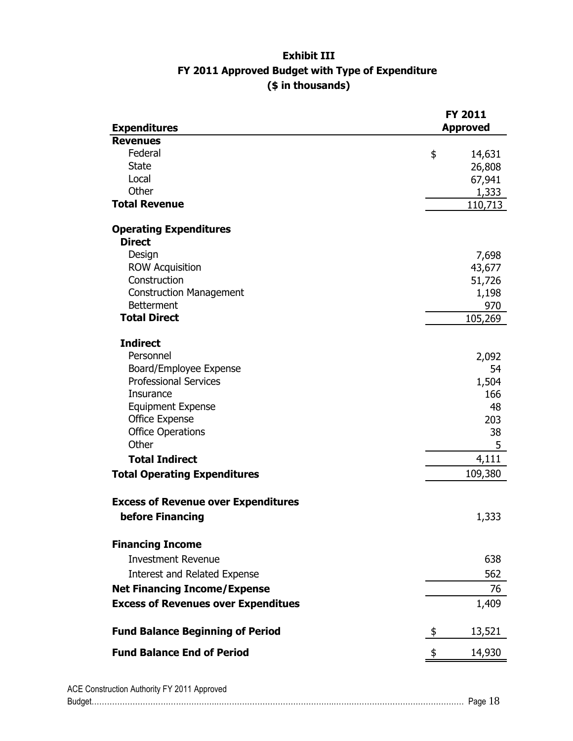### **Exhibit III FY 2011 Approved Budget with Type of Expenditure (\$ in thousands)**

| <b>Expenditures</b>                        | FY 2011<br><b>Approved</b> |  |  |  |  |
|--------------------------------------------|----------------------------|--|--|--|--|
| <b>Revenues</b>                            |                            |  |  |  |  |
| Federal                                    | \$<br>14,631               |  |  |  |  |
| <b>State</b>                               | 26,808                     |  |  |  |  |
| Local                                      | 67,941                     |  |  |  |  |
| Other                                      | 1,333                      |  |  |  |  |
| <b>Total Revenue</b>                       | 110,713                    |  |  |  |  |
| <b>Operating Expenditures</b>              |                            |  |  |  |  |
| <b>Direct</b>                              |                            |  |  |  |  |
| Design                                     | 7,698                      |  |  |  |  |
| <b>ROW Acquisition</b>                     | 43,677                     |  |  |  |  |
| Construction                               | 51,726                     |  |  |  |  |
| <b>Construction Management</b>             | 1,198                      |  |  |  |  |
| <b>Betterment</b>                          | 970                        |  |  |  |  |
| <b>Total Direct</b>                        | 105,269                    |  |  |  |  |
| <b>Indirect</b>                            |                            |  |  |  |  |
| Personnel                                  | 2,092<br>54                |  |  |  |  |
| Board/Employee Expense                     |                            |  |  |  |  |
| <b>Professional Services</b>               | 1,504                      |  |  |  |  |
| Insurance                                  | 166                        |  |  |  |  |
| <b>Equipment Expense</b><br>Office Expense | 48                         |  |  |  |  |
| <b>Office Operations</b>                   | 203                        |  |  |  |  |
| Other                                      |                            |  |  |  |  |
| <b>Total Indirect</b>                      | 4,111                      |  |  |  |  |
| <b>Total Operating Expenditures</b>        | 109,380                    |  |  |  |  |
| <b>Excess of Revenue over Expenditures</b> |                            |  |  |  |  |
| before Financing                           | 1,333                      |  |  |  |  |
| <b>Financing Income</b>                    |                            |  |  |  |  |
| <b>Investment Revenue</b>                  | 638                        |  |  |  |  |
| <b>Interest and Related Expense</b>        | 562                        |  |  |  |  |
| <b>Net Financing Income/Expense</b>        |                            |  |  |  |  |
| <b>Excess of Revenues over Expenditues</b> | 1,409                      |  |  |  |  |
| <b>Fund Balance Beginning of Period</b>    | 13,521<br>\$               |  |  |  |  |
| <b>Fund Balance End of Period</b>          | 14,930<br>S                |  |  |  |  |

| ACE Construction Authority FY 2011 Approved |  |
|---------------------------------------------|--|
|                                             |  |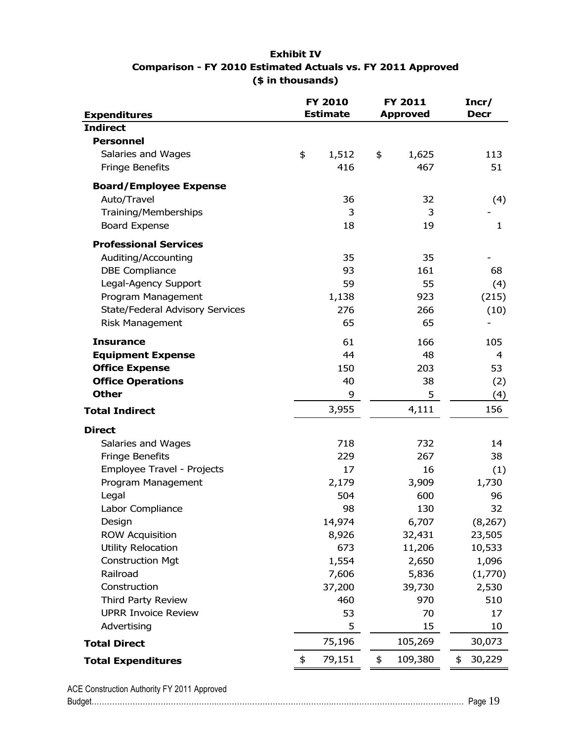#### **Exhibit IV Comparison - FY 2010 Estimated Actuals vs. FY 2011 Approved (\$ in thousands)**

| <b>Expenditures</b>                    | <b>FY 2010</b><br><b>Estimate</b> | FY 2011<br><b>Approved</b> | Incr/<br><b>Decr</b> |
|----------------------------------------|-----------------------------------|----------------------------|----------------------|
| <b>Indirect</b>                        |                                   |                            |                      |
| <b>Personnel</b>                       |                                   |                            |                      |
| Salaries and Wages                     | \$<br>1,512                       | \$<br>1,625                | 113                  |
| <b>Fringe Benefits</b>                 | 416                               | 467                        | 51                   |
| <b>Board/Employee Expense</b>          |                                   |                            |                      |
| Auto/Travel                            | 36                                | 32                         | (4)                  |
| Training/Memberships                   | 3                                 | 3                          |                      |
| <b>Board Expense</b>                   | 18                                | 19                         | $\mathbf{1}$         |
| <b>Professional Services</b>           |                                   |                            |                      |
| Auditing/Accounting                    | 35                                | 35                         |                      |
| <b>DBE Compliance</b>                  | 93                                | 161                        | 68                   |
| Legal-Agency Support                   | 59                                | 55                         | (4)                  |
| Program Management                     | 1,138                             | 923                        | (215)                |
| <b>State/Federal Advisory Services</b> | 276                               | 266                        | (10)                 |
| <b>Risk Management</b>                 | 65                                | 65                         |                      |
| <b>Insurance</b>                       | 61                                | 166                        | 105                  |
| <b>Equipment Expense</b>               | 44                                | 48                         | 4                    |
| <b>Office Expense</b>                  | 150                               | 203                        | 53                   |
| <b>Office Operations</b>               | 40                                | 38                         | (2)                  |
| <b>Other</b>                           | 9                                 | 5                          | (4)                  |
| <b>Total Indirect</b>                  | 3,955                             | 4,111                      | 156                  |
| <b>Direct</b>                          |                                   |                            |                      |
| Salaries and Wages                     | 718                               | 732                        | 14                   |
| <b>Fringe Benefits</b>                 | 229                               | 267                        | 38                   |
| Employee Travel - Projects             | 17                                | 16                         | (1)                  |
| Program Management                     | 2,179                             | 3,909                      | 1,730                |
| Legal                                  | 504                               | 600                        | 96                   |
| Labor Compliance                       | 98                                | 130                        | 32                   |
| Design                                 | 14,974                            | 6,707                      | (8, 267)             |
| <b>ROW Acquisition</b>                 | 8,926                             | 32,431                     | 23,505               |
| <b>Utility Relocation</b>              | 673                               | 11,206                     | 10,533               |
| <b>Construction Mgt</b>                | 1,554                             | 2,650                      | 1,096                |
| Railroad                               | 7,606                             | 5,836                      | (1,770)              |
| Construction                           | 37,200                            | 39,730                     | 2,530                |
| <b>Third Party Review</b>              | 460                               | 970                        | 510                  |
| <b>UPRR Invoice Review</b>             | 53                                | 70                         | 17                   |
| Advertising                            | 5                                 | 15                         | 10                   |
| <b>Total Direct</b>                    | 75,196                            | 105,269                    | 30,073               |
| <b>Total Expenditures</b>              | \$<br>79,151                      | \$<br>109,380              | \$<br>30,229         |
|                                        |                                   |                            |                      |

ACE Construction Authority FY 2011 Approved Budget………………………………………….……………………………………….…………………………………………… Page 19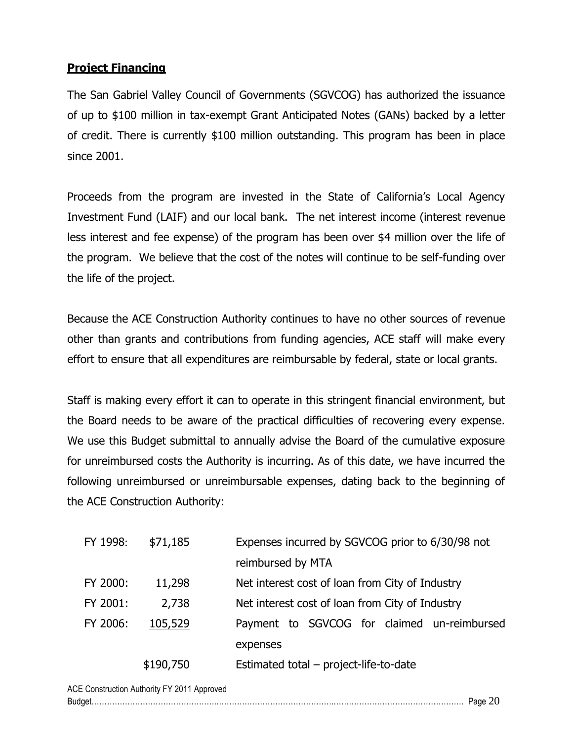### <span id="page-22-0"></span>**Project Financing**

The San Gabriel Valley Council of Governments (SGVCOG) has authorized the issuance of up to \$100 million in tax-exempt Grant Anticipated Notes (GANs) backed by a letter of credit. There is currently \$100 million outstanding. This program has been in place since 2001.

Proceeds from the program are invested in the State of California's Local Agency Investment Fund (LAIF) and our local bank. The net interest income (interest revenue less interest and fee expense) of the program has been over \$4 million over the life of the program. We believe that the cost of the notes will continue to be self-funding over the life of the project.

Because the ACE Construction Authority continues to have no other sources of revenue other than grants and contributions from funding agencies, ACE staff will make every effort to ensure that all expenditures are reimbursable by federal, state or local grants.

Staff is making every effort it can to operate in this stringent financial environment, but the Board needs to be aware of the practical difficulties of recovering every expense. We use this Budget submittal to annually advise the Board of the cumulative exposure for unreimbursed costs the Authority is incurring. As of this date, we have incurred the following unreimbursed or unreimbursable expenses, dating back to the beginning of the ACE Construction Authority:

| FY 1998: | \$71,185  | Expenses incurred by SGVCOG prior to 6/30/98 not |
|----------|-----------|--------------------------------------------------|
|          |           | reimbursed by MTA                                |
| FY 2000: | 11,298    | Net interest cost of loan from City of Industry  |
| FY 2001: | 2,738     | Net interest cost of loan from City of Industry  |
| FY 2006: | 105,529   | Payment to SGVCOG for claimed un-reimbursed      |
|          |           | expenses                                         |
|          | \$190,750 | Estimated total – project-life-to-date           |
|          |           |                                                  |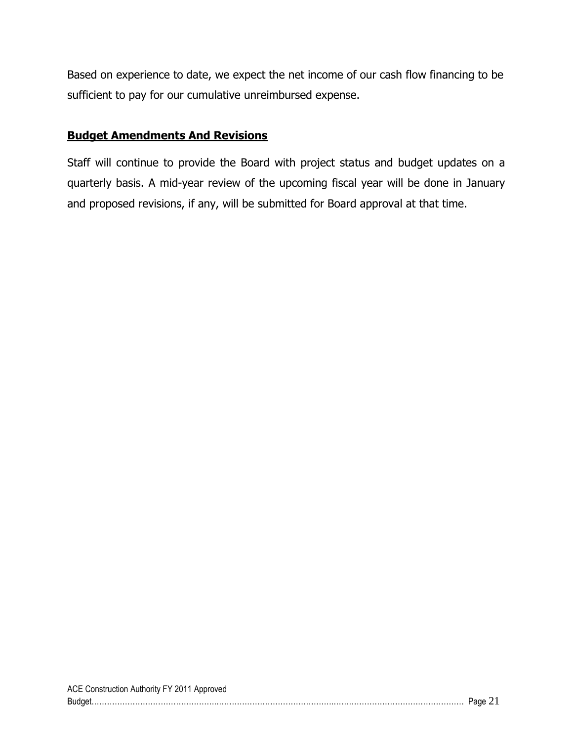Based on experience to date, we expect the net income of our cash flow financing to be sufficient to pay for our cumulative unreimbursed expense.

### <span id="page-23-0"></span>**Budget Amendments And Revisions**

Staff will continue to provide the Board with project status and budget updates on a quarterly basis. A mid-year review of the upcoming fiscal year will be done in January and proposed revisions, if any, will be submitted for Board approval at that time.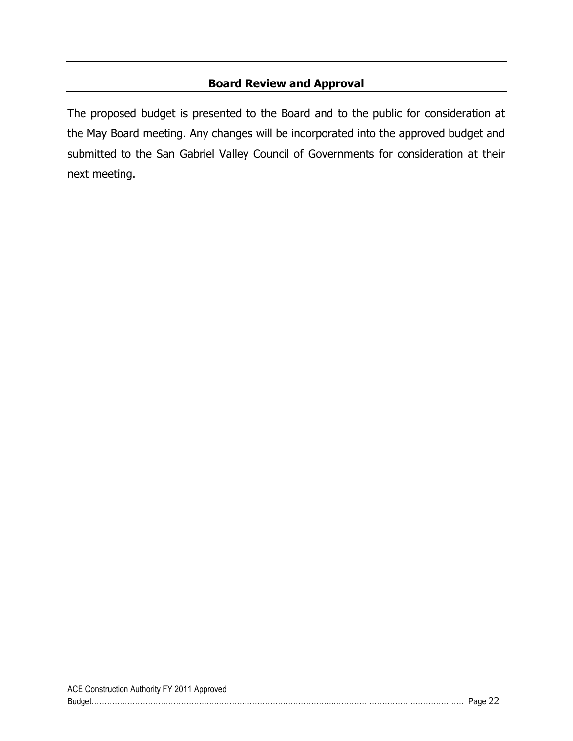### **Board Review and Approval**

<span id="page-24-0"></span>The proposed budget is presented to the Board and to the public for consideration at the May Board meeting. Any changes will be incorporated into the approved budget and submitted to the San Gabriel Valley Council of Governments for consideration at their next meeting.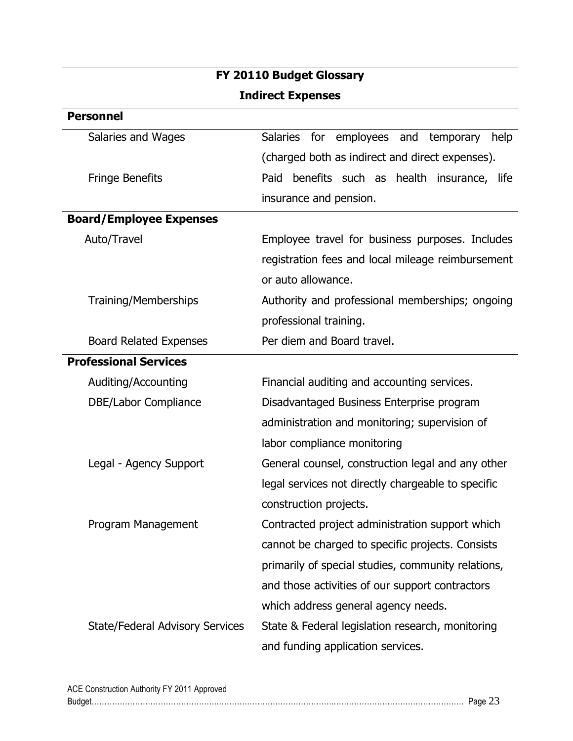# <span id="page-25-0"></span>**FY 20110 Budget Glossary**

# **Indirect Expenses**

<span id="page-25-1"></span>

| <b>Personnel</b>                       |                                                        |
|----------------------------------------|--------------------------------------------------------|
| Salaries and Wages                     | <b>Salaries</b><br>for employees and temporary<br>help |
|                                        | (charged both as indirect and direct expenses).        |
| <b>Fringe Benefits</b>                 | benefits such as health insurance, life<br>Paid        |
|                                        | insurance and pension.                                 |
| <b>Board/Employee Expenses</b>         |                                                        |
| Auto/Travel                            | Employee travel for business purposes. Includes        |
|                                        | registration fees and local mileage reimbursement      |
|                                        | or auto allowance.                                     |
| <b>Training/Memberships</b>            | Authority and professional memberships; ongoing        |
|                                        | professional training.                                 |
| <b>Board Related Expenses</b>          | Per diem and Board travel.                             |
| <b>Professional Services</b>           |                                                        |
| Auditing/Accounting                    | Financial auditing and accounting services.            |
| DBE/Labor Compliance                   | Disadvantaged Business Enterprise program              |
|                                        | administration and monitoring; supervision of          |
|                                        | labor compliance monitoring                            |
| Legal - Agency Support                 | General counsel, construction legal and any other      |
|                                        | legal services not directly chargeable to specific     |
|                                        | construction projects.                                 |
| Program Management                     | Contracted project administration support which        |
|                                        | cannot be charged to specific projects. Consists       |
|                                        | primarily of special studies, community relations,     |
|                                        | and those activities of our support contractors        |
|                                        | which address general agency needs.                    |
| <b>State/Federal Advisory Services</b> | State & Federal legislation research, monitoring       |
|                                        | and funding application services.                      |

| ACE Construction Authority FY 2011 Approved |  |
|---------------------------------------------|--|
|                                             |  |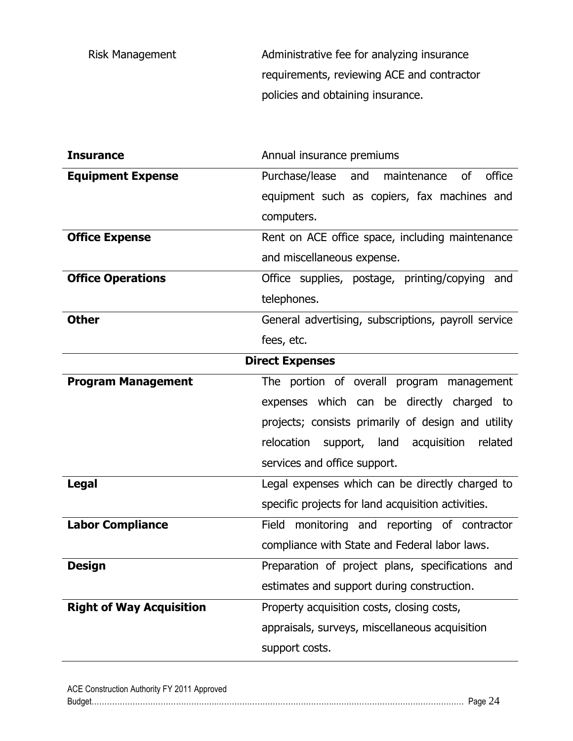| Risk Management | Administrative fee for analyzing insurance |
|-----------------|--------------------------------------------|
|                 | requirements, reviewing ACE and contractor |
|                 | policies and obtaining insurance.          |

<span id="page-26-0"></span>

| <b>Insurance</b>                | Annual insurance premiums                            |  |
|---------------------------------|------------------------------------------------------|--|
| <b>Equipment Expense</b>        | Purchase/lease<br>office<br>maintenance<br>of<br>and |  |
|                                 | equipment such as copiers, fax machines and          |  |
|                                 | computers.                                           |  |
| <b>Office Expense</b>           | Rent on ACE office space, including maintenance      |  |
|                                 | and miscellaneous expense.                           |  |
| <b>Office Operations</b>        | Office supplies, postage, printing/copying<br>and    |  |
|                                 | telephones.                                          |  |
| <b>Other</b>                    | General advertising, subscriptions, payroll service  |  |
|                                 | fees, etc.                                           |  |
| <b>Direct Expenses</b>          |                                                      |  |
| <b>Program Management</b>       | The portion of overall program management            |  |
|                                 | expenses which can be directly charged to            |  |
|                                 | projects; consists primarily of design and utility   |  |
|                                 | support, land acquisition<br>relocation<br>related   |  |
|                                 | services and office support.                         |  |
| <b>Legal</b>                    | Legal expenses which can be directly charged to      |  |
|                                 | specific projects for land acquisition activities.   |  |
| <b>Labor Compliance</b>         | Field monitoring and reporting of contractor         |  |
|                                 | compliance with State and Federal labor laws.        |  |
| <b>Design</b>                   | Preparation of project plans, specifications and     |  |
|                                 | estimates and support during construction.           |  |
| <b>Right of Way Acquisition</b> | Property acquisition costs, closing costs,           |  |
|                                 | appraisals, surveys, miscellaneous acquisition       |  |
|                                 | support costs.                                       |  |